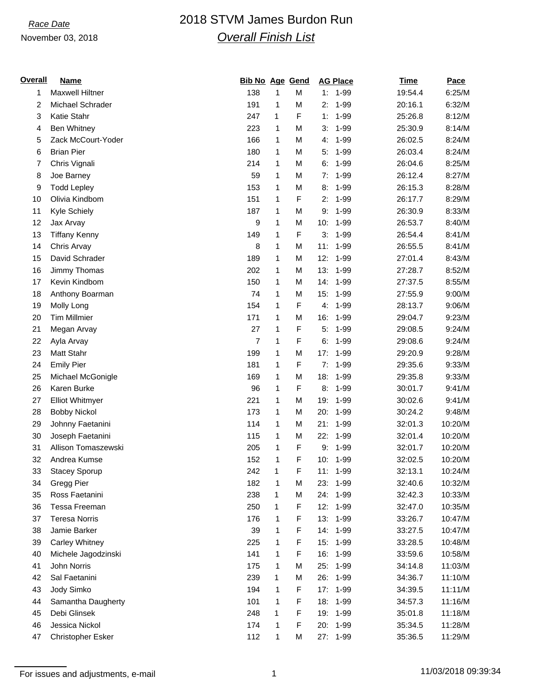# *Race Date* 2018 STVM James Burdon Run *Overall Finish List*

### November 03, 2018

| <b>Overall</b> | <b>Name</b>              | <b>Bib No Age Gend</b> |   |   | <b>AG Place</b> | <b>Time</b> | Pace    |
|----------------|--------------------------|------------------------|---|---|-----------------|-------------|---------|
| 1              | <b>Maxwell Hiltner</b>   | 138                    | 1 | M | $1 - 99$<br>1:  | 19:54.4     | 6:25/M  |
| 2              | Michael Schrader         | 191                    | 1 | M | $1 - 99$<br>2:  | 20:16.1     | 6:32/M  |
| 3              | Katie Stahr              | 247                    | 1 | F | $1 - 99$<br>1:  | 25:26.8     | 8:12/M  |
| 4              | <b>Ben Whitney</b>       | 223                    | 1 | M | $1 - 99$<br>3:  | 25:30.9     | 8:14/M  |
| 5              | Zack McCourt-Yoder       | 166                    | 1 | M | $1 - 99$<br>4.  | 26:02.5     | 8:24/M  |
| 6              | <b>Brian Pier</b>        | 180                    | 1 | M | $1 - 99$<br>5:  | 26:03.4     | 8:24/M  |
| 7              | Chris Vignali            | 214                    | 1 | M | $1 - 99$<br>6:  | 26:04.6     | 8:25/M  |
| 8              | Joe Barney               | 59                     | 1 | M | $1 - 99$<br>7:  | 26:12.4     | 8:27/M  |
| 9              | <b>Todd Lepley</b>       | 153                    | 1 | M | 8:<br>$1 - 99$  | 26:15.3     | 8:28/M  |
| 10             | Olivia Kindbom           | 151                    | 1 | F | $1 - 99$<br>2:  | 26:17.7     | 8:29/M  |
| 11             | Kyle Schiely             | 187                    | 1 | M | $1 - 99$<br>9:  | 26:30.9     | 8:33/M  |
| 12             | Jax Arvay                | 9                      | 1 | M | 10:<br>$1 - 99$ | 26:53.7     | 8:40/M  |
| 13             | <b>Tiffany Kenny</b>     | 149                    | 1 | F | $1 - 99$<br>3:  | 26:54.4     | 8:41/M  |
| 14             | Chris Arvay              | 8                      | 1 | M | $1 - 99$<br>11: | 26:55.5     | 8:41/M  |
| 15             | David Schrader           | 189                    | 1 | M | 12:<br>$1 - 99$ | 27:01.4     | 8:43/M  |
| 16             | Jimmy Thomas             | 202                    | 1 | M | 13:<br>$1 - 99$ | 27:28.7     | 8:52/M  |
| 17             | Kevin Kindbom            | 150                    | 1 | M | 14:<br>$1 - 99$ | 27:37.5     | 8:55/M  |
| 18             | Anthony Boarman          | 74                     | 1 | М | 15:<br>$1 - 99$ | 27:55.9     | 9:00/M  |
| 19             | Molly Long               | 154                    | 1 | F | $1 - 99$<br>4.  | 28:13.7     | 9:06/M  |
| 20             | <b>Tim Millmier</b>      | 171                    | 1 | M | 16:<br>$1 - 99$ | 29:04.7     | 9:23/M  |
| 21             | Megan Arvay              | 27                     | 1 | F | 5:<br>$1 - 99$  | 29:08.5     | 9:24/M  |
| 22             | Ayla Arvay               | 7                      | 1 | F | $1 - 99$<br>6:  | 29:08.6     | 9:24/M  |
| 23             | Matt Stahr               | 199                    | 1 | M | 17:<br>$1 - 99$ | 29:20.9     | 9:28/M  |
| 24             | <b>Emily Pier</b>        | 181                    | 1 | F | 7:<br>$1 - 99$  | 29:35.6     | 9:33/M  |
| 25             | Michael McGonigle        | 169                    | 1 | M | $1 - 99$<br>18: | 29:35.8     | 9:33/M  |
| 26             | Karen Burke              | 96                     | 1 | F | $1 - 99$<br>8:  | 30:01.7     | 9:41/M  |
| 27             | <b>Elliot Whitmyer</b>   | 221                    | 1 | M | 19:<br>$1 - 99$ | 30:02.6     | 9:41/M  |
| 28             | <b>Bobby Nickol</b>      | 173                    | 1 | M | $1 - 99$<br>20: | 30:24.2     | 9:48/M  |
| 29             | Johnny Faetanini         | 114                    | 1 | M | 21:<br>$1 - 99$ | 32:01.3     | 10:20/M |
| 30             | Joseph Faetanini         | 115                    | 1 | M | 22:<br>$1 - 99$ | 32:01.4     | 10:20/M |
| 31             | Allison Tomaszewski      | 205                    | 1 | F | $1 - 99$<br>9:  | 32:01.7     | 10:20/M |
| 32             | Andrea Kumse             | 152                    | 1 | F | 10:<br>1-99     | 32:02.5     | 10:20/M |
| 33             | Stacey Sporup            | 242                    | 1 | F | 11:<br>1-99     | 32:13.1     | 10:24/M |
| 34             | Gregg Pier               | 182                    | 1 | М | 23:<br>$1 - 99$ | 32:40.6     | 10:32/M |
| 35             | Ross Faetanini           | 238                    | 1 | M | 24:<br>$1 - 99$ | 32:42.3     | 10:33/M |
| 36             | Tessa Freeman            | 250                    | 1 | F | 12:<br>1-99     | 32:47.0     | 10:35/M |
| 37             | <b>Teresa Norris</b>     | 176                    | 1 | F | 13:<br>1-99     | 33:26.7     | 10:47/M |
| 38             | Jamie Barker             | 39                     | 1 | F | 14:<br>$1 - 99$ | 33:27.5     | 10:47/M |
| 39             | Carley Whitney           | 225                    | 1 | F | 15:<br>1-99     | 33:28.5     | 10:48/M |
| 40             | Michele Jagodzinski      | 141                    | 1 | F | 16:<br>1-99     | 33:59.6     | 10:58/M |
| 41             | John Norris              | 175                    | 1 | М | 25:<br>1-99     | 34:14.8     | 11:03/M |
| 42             | Sal Faetanini            | 239                    | 1 | M | 26:<br>$1 - 99$ | 34:36.7     | 11:10/M |
| 43             | Jody Simko               | 194                    | 1 | F | 17:<br>$1 - 99$ | 34:39.5     | 11:11/M |
| 44             | Samantha Daugherty       | 101                    | 1 | F | 18:<br>1-99     | 34:57.3     | 11:16/M |
| 45             | Debi Glinsek             | 248                    | 1 | F | 19:<br>1-99     | 35:01.8     | 11:18/M |
| 46             | Jessica Nickol           | 174                    | 1 | F | 20:<br>$1 - 99$ | 35:34.5     | 11:28/M |
| 47             | <b>Christopher Esker</b> | 112                    | 1 | M | 27: 1-99        | 35:36.5     | 11:29/M |

For issues and adjustments, e-mail 1 11/03/2018 09:39:34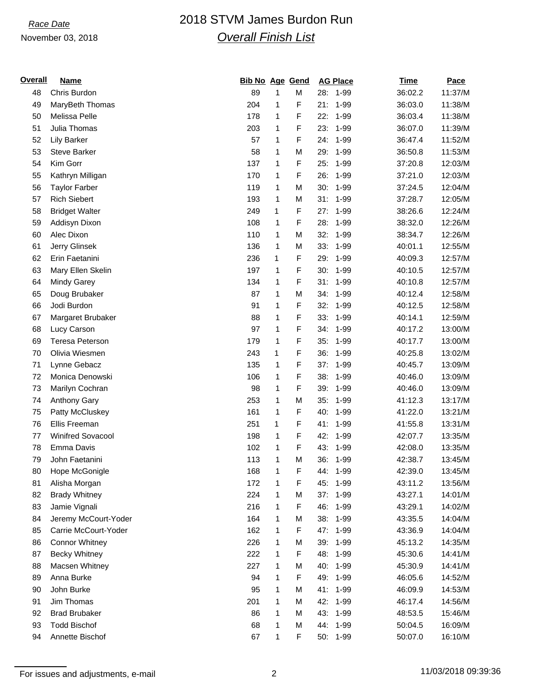### November 03, 2018

# *Race Date* 2018 STVM James Burdon Run *Overall Finish List*

| <b>Overall</b> | <u>Name</u>            | <b>Bib No Age Gend</b> |              |   |     | <b>AG Place</b> | <b>Time</b> | <b>Pace</b> |
|----------------|------------------------|------------------------|--------------|---|-----|-----------------|-------------|-------------|
| 48             | Chris Burdon           | 89                     | $\mathbf{1}$ | M | 28: | 1-99            | 36:02.2     | 11:37/M     |
| 49             | MaryBeth Thomas        | 204                    | 1            | F | 21: | $1 - 99$        | 36:03.0     | 11:38/M     |
| 50             | Melissa Pelle          | 178                    | 1            | F | 22: | 1-99            | 36:03.4     | 11:38/M     |
| 51             | Julia Thomas           | 203                    | 1            | F | 23: | $1 - 99$        | 36:07.0     | 11:39/M     |
| 52             | <b>Lily Barker</b>     | 57                     | 1            | F | 24: | $1 - 99$        | 36:47.4     | 11:52/M     |
| 53             | <b>Steve Barker</b>    | 58                     | 1            | M | 29: | $1 - 99$        | 36:50.8     | 11:53/M     |
| 54             | Kim Gorr               | 137                    | 1            | F | 25: | $1 - 99$        | 37:20.8     | 12:03/M     |
| 55             | Kathryn Milligan       | 170                    | 1            | F | 26: | $1 - 99$        | 37:21.0     | 12:03/M     |
| 56             | <b>Taylor Farber</b>   | 119                    | 1            | M | 30: | $1 - 99$        | 37:24.5     | 12:04/M     |
| 57             | <b>Rich Siebert</b>    | 193                    | 1            | M | 31: | $1 - 99$        | 37:28.7     | 12:05/M     |
| 58             | <b>Bridget Walter</b>  | 249                    | 1            | F | 27: | $1 - 99$        | 38:26.6     | 12:24/M     |
| 59             | Addisyn Dixon          | 108                    | 1            | F | 28: | $1 - 99$        | 38:32.0     | 12:26/M     |
| 60             | Alec Dixon             | 110                    | 1            | M | 32: | $1 - 99$        | 38:34.7     | 12:26/M     |
| 61             | Jerry Glinsek          | 136                    | 1            | M | 33: | $1 - 99$        | 40:01.1     | 12:55/M     |
| 62             | Erin Faetanini         | 236                    | 1            | F | 29: | $1 - 99$        | 40:09.3     | 12:57/M     |
| 63             | Mary Ellen Skelin      | 197                    | 1            | F | 30: | $1 - 99$        | 40:10.5     | 12:57/M     |
| 64             | <b>Mindy Garey</b>     | 134                    | 1            | F | 31: | $1 - 99$        | 40:10.8     | 12:57/M     |
| 65             | Doug Brubaker          | 87                     | 1            | M | 34: | $1 - 99$        | 40:12.4     | 12:58/M     |
| 66             | Jodi Burdon            | 91                     | 1            | F | 32: | 1-99            | 40:12.5     | 12:58/M     |
| 67             | Margaret Brubaker      | 88                     | 1            | F | 33: | $1 - 99$        | 40:14.1     | 12:59/M     |
| 68             | Lucy Carson            | 97                     | 1            | F | 34: | $1 - 99$        | 40:17.2     | 13:00/M     |
| 69             | <b>Teresa Peterson</b> | 179                    | 1            | F | 35: | $1 - 99$        | 40:17.7     | 13:00/M     |
| 70             | Olivia Wiesmen         | 243                    | 1            | F | 36: | $1 - 99$        | 40:25.8     | 13:02/M     |
| 71             | Lynne Gebacz           | 135                    | 1            | F | 37: | $1 - 99$        | 40:45.7     | 13:09/M     |
| 72             | Monica Denowski        | 106                    | 1            | F | 38: | $1 - 99$        | 40:46.0     | 13:09/M     |
| 73             | Marilyn Cochran        | 98                     | 1            | F | 39: | $1 - 99$        | 40:46.0     | 13:09/M     |
| 74             | Anthony Gary           | 253                    | 1            | M | 35: | $1 - 99$        | 41:12.3     | 13:17/M     |
| 75             | Patty McCluskey        | 161                    | 1            | F | 40: | $1 - 99$        | 41:22.0     | 13:21/M     |
| 76             | Ellis Freeman          | 251                    | 1            | F | 41: | $1 - 99$        | 41:55.8     | 13:31/M     |
| 77             | Winifred Sovacool      | 198                    | 1            | F | 42: | $1 - 99$        | 42:07.7     | 13:35/M     |
| 78             | Emma Davis             | 102                    | 1            | F | 43: | $1 - 99$        | 42:08.0     | 13:35/M     |
| 79             | John Faetanini         | 113                    | 1            | M | 36: | $1 - 99$        | 42:38.7     | 13:45/M     |
| 80             | Hope McGonigle         | 168                    | $\mathbf{1}$ | F | 44: | $1 - 99$        | 42:39.0     | 13:45/M     |
| 81             | Alisha Morgan          | 172                    | 1            | F | 45: | 1-99            | 43:11.2     | 13:56/M     |
| 82             | <b>Brady Whitney</b>   | 224                    | 1            | M | 37: | $1 - 99$        | 43:27.1     | 14:01/M     |
| 83             | Jamie Vignali          | 216                    | 1            | F | 46: | $1 - 99$        | 43:29.1     | 14:02/M     |
| 84             | Jeremy McCourt-Yoder   | 164                    | 1            | M | 38: | 1-99            | 43:35.5     | 14:04/M     |
| 85             | Carrie McCourt-Yoder   | 162                    | 1            | F | 47: | $1 - 99$        | 43:36.9     | 14:04/M     |
| 86             | <b>Connor Whitney</b>  | 226                    | 1            | M | 39: | $1 - 99$        | 45:13.2     | 14:35/M     |
| 87             | <b>Becky Whitney</b>   | 222                    | 1            | F | 48: | $1 - 99$        | 45:30.6     | 14:41/M     |
| 88             | Macsen Whitney         | 227                    | 1            | M | 40: | 1-99            | 45:30.9     | 14:41/M     |
| 89             | Anna Burke             | 94                     | 1            | F | 49: | 1-99            | 46:05.6     | 14:52/M     |
| 90             | John Burke             | 95                     | 1            | M | 41: | $1 - 99$        | 46:09.9     | 14:53/M     |
| 91             | Jim Thomas             | 201                    | 1            | M | 42: | $1 - 99$        | 46:17.4     | 14:56/M     |
| 92             | <b>Brad Brubaker</b>   | 86                     | 1            | M | 43: | 1-99            | 48:53.5     | 15:46/M     |
| 93             | <b>Todd Bischof</b>    | 68                     | 1            | M | 44: | 1-99            | 50:04.5     | 16:09/M     |
| 94             | Annette Bischof        | 67                     | 1            | F | 50: | 1-99            | 50:07.0     | 16:10/M     |
|                |                        |                        |              |   |     |                 |             |             |

For issues and adjustments, e-mail 2 11/03/2018 09:39:36